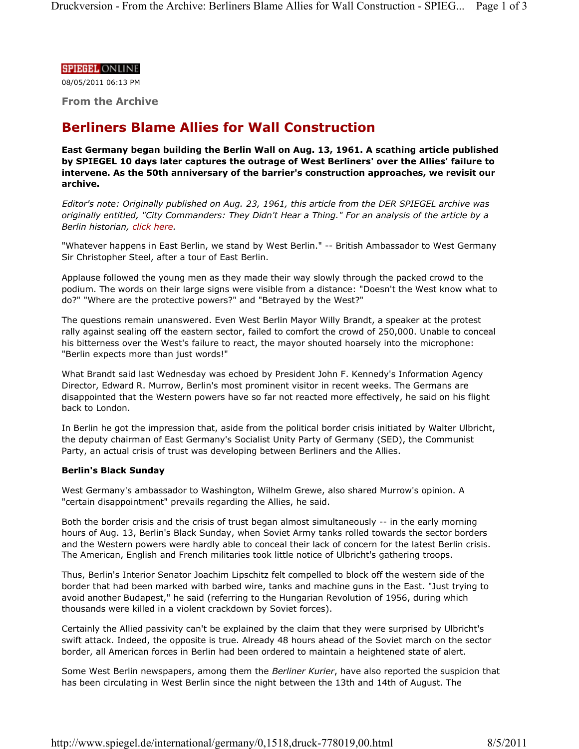### **SPIEGEL ONLINE**

08/05/2011 06:13 PM

**From the Archive**

# **Berliners Blame Allies for Wall Construction**

**East Germany began building the Berlin Wall on Aug. 13, 1961. A scathing article published by SPIEGEL 10 days later captures the outrage of West Berliners' over the Allies' failure to intervene. As the 50th anniversary of the barrier's construction approaches, we revisit our archive.**

*Editor's note: Originally published on Aug. 23, 1961, this article from the DER SPIEGEL archive was originally entitled, "City Commanders: They Didn't Hear a Thing." For an analysis of the article by a Berlin historian, click here.*

"Whatever happens in East Berlin, we stand by West Berlin." -- British Ambassador to West Germany Sir Christopher Steel, after a tour of East Berlin.

Applause followed the young men as they made their way slowly through the packed crowd to the podium. The words on their large signs were visible from a distance: "Doesn't the West know what to do?" "Where are the protective powers?" and "Betrayed by the West?"

The questions remain unanswered. Even West Berlin Mayor Willy Brandt, a speaker at the protest rally against sealing off the eastern sector, failed to comfort the crowd of 250,000. Unable to conceal his bitterness over the West's failure to react, the mayor shouted hoarsely into the microphone: "Berlin expects more than just words!"

What Brandt said last Wednesday was echoed by President John F. Kennedy's Information Agency Director, Edward R. Murrow, Berlin's most prominent visitor in recent weeks. The Germans are disappointed that the Western powers have so far not reacted more effectively, he said on his flight back to London.

In Berlin he got the impression that, aside from the political border crisis initiated by Walter Ulbricht, the deputy chairman of East Germany's Socialist Unity Party of Germany (SED), the Communist Party, an actual crisis of trust was developing between Berliners and the Allies.

## **Berlin's Black Sunday**

West Germany's ambassador to Washington, Wilhelm Grewe, also shared Murrow's opinion. A "certain disappointment" prevails regarding the Allies, he said.

Both the border crisis and the crisis of trust began almost simultaneously -- in the early morning hours of Aug. 13, Berlin's Black Sunday, when Soviet Army tanks rolled towards the sector borders and the Western powers were hardly able to conceal their lack of concern for the latest Berlin crisis. The American, English and French militaries took little notice of Ulbricht's gathering troops.

Thus, Berlin's Interior Senator Joachim Lipschitz felt compelled to block off the western side of the border that had been marked with barbed wire, tanks and machine guns in the East. "Just trying to avoid another Budapest," he said (referring to the Hungarian Revolution of 1956, during which thousands were killed in a violent crackdown by Soviet forces).

Certainly the Allied passivity can't be explained by the claim that they were surprised by Ulbricht's swift attack. Indeed, the opposite is true. Already 48 hours ahead of the Soviet march on the sector border, all American forces in Berlin had been ordered to maintain a heightened state of alert.

Some West Berlin newspapers, among them the *Berliner Kurier*, have also reported the suspicion that has been circulating in West Berlin since the night between the 13th and 14th of August. The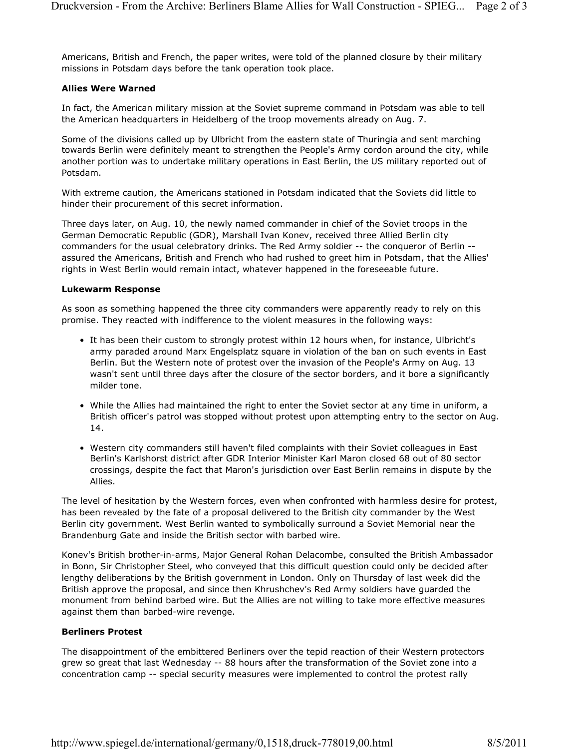Americans, British and French, the paper writes, were told of the planned closure by their military missions in Potsdam days before the tank operation took place.

## **Allies Were Warned**

In fact, the American military mission at the Soviet supreme command in Potsdam was able to tell the American headquarters in Heidelberg of the troop movements already on Aug. 7.

Some of the divisions called up by Ulbricht from the eastern state of Thuringia and sent marching towards Berlin were definitely meant to strengthen the People's Army cordon around the city, while another portion was to undertake military operations in East Berlin, the US military reported out of Potsdam.

With extreme caution, the Americans stationed in Potsdam indicated that the Soviets did little to hinder their procurement of this secret information.

Three days later, on Aug. 10, the newly named commander in chief of the Soviet troops in the German Democratic Republic (GDR), Marshall Ivan Konev, received three Allied Berlin city commanders for the usual celebratory drinks. The Red Army soldier -- the conqueror of Berlin - assured the Americans, British and French who had rushed to greet him in Potsdam, that the Allies' rights in West Berlin would remain intact, whatever happened in the foreseeable future.

#### **Lukewarm Response**

As soon as something happened the three city commanders were apparently ready to rely on this promise. They reacted with indifference to the violent measures in the following ways:

- It has been their custom to strongly protest within 12 hours when, for instance, Ulbricht's army paraded around Marx Engelsplatz square in violation of the ban on such events in East Berlin. But the Western note of protest over the invasion of the People's Army on Aug. 13 wasn't sent until three days after the closure of the sector borders, and it bore a significantly milder tone.
- While the Allies had maintained the right to enter the Soviet sector at any time in uniform, a British officer's patrol was stopped without protest upon attempting entry to the sector on Aug. 14.
- Western city commanders still haven't filed complaints with their Soviet colleagues in East Berlin's Karlshorst district after GDR Interior Minister Karl Maron closed 68 out of 80 sector crossings, despite the fact that Maron's jurisdiction over East Berlin remains in dispute by the Allies.

The level of hesitation by the Western forces, even when confronted with harmless desire for protest, has been revealed by the fate of a proposal delivered to the British city commander by the West Berlin city government. West Berlin wanted to symbolically surround a Soviet Memorial near the Brandenburg Gate and inside the British sector with barbed wire.

Konev's British brother-in-arms, Major General Rohan Delacombe, consulted the British Ambassador in Bonn, Sir Christopher Steel, who conveyed that this difficult question could only be decided after lengthy deliberations by the British government in London. Only on Thursday of last week did the British approve the proposal, and since then Khrushchev's Red Army soldiers have guarded the monument from behind barbed wire. But the Allies are not willing to take more effective measures against them than barbed-wire revenge.

#### **Berliners Protest**

The disappointment of the embittered Berliners over the tepid reaction of their Western protectors grew so great that last Wednesday -- 88 hours after the transformation of the Soviet zone into a concentration camp -- special security measures were implemented to control the protest rally